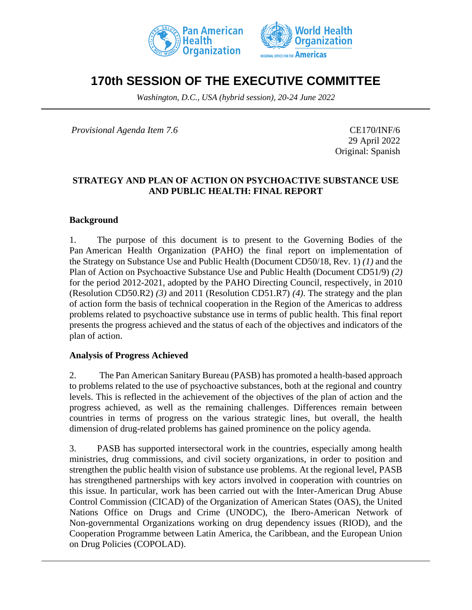



# **170th SESSION OF THE EXECUTIVE COMMITTEE**

*Washington, D.C., USA (hybrid session), 20-24 June 2022*

*Provisional Agenda Item 7.6* CE170/INF/6

29 April 2022 Original: Spanish

#### **STRATEGY AND PLAN OF ACTION ON PSYCHOACTIVE SUBSTANCE USE AND PUBLIC HEALTH: FINAL REPORT**

#### **Background**

1. The purpose of this document is to present to the Governing Bodies of the Pan American Health Organization (PAHO) the final report on implementation of the Strategy on Substance Use and Public Health (Document CD50/18, Rev. 1) *(1)* and the Plan of Action on Psychoactive Substance Use and Public Health (Document CD51/9) *(2)* for the period 2012-2021, adopted by the PAHO Directing Council, respectively, in 2010 (Resolution CD50.R2) *(3)* and 2011 (Resolution CD51.R7) *(4)*. The strategy and the plan of action form the basis of technical cooperation in the Region of the Americas to address problems related to psychoactive substance use in terms of public health. This final report presents the progress achieved and the status of each of the objectives and indicators of the plan of action.

#### **Analysis of Progress Achieved**

2. The Pan American Sanitary Bureau (PASB) has promoted a health-based approach to problems related to the use of psychoactive substances, both at the regional and country levels. This is reflected in the achievement of the objectives of the plan of action and the progress achieved, as well as the remaining challenges. Differences remain between countries in terms of progress on the various strategic lines, but overall, the health dimension of drug-related problems has gained prominence on the policy agenda.

3. PASB has supported intersectoral work in the countries, especially among health ministries, drug commissions, and civil society organizations, in order to position and strengthen the public health vision of substance use problems. At the regional level, PASB has strengthened partnerships with key actors involved in cooperation with countries on this issue. In particular, work has been carried out with the Inter-American Drug Abuse Control Commission (CICAD) of the Organization of American States (OAS), the United Nations Office on Drugs and Crime (UNODC), the Ibero-American Network of Non-governmental Organizations working on drug dependency issues (RIOD), and the Cooperation Programme between Latin America, the Caribbean, and the European Union on Drug Policies (COPOLAD).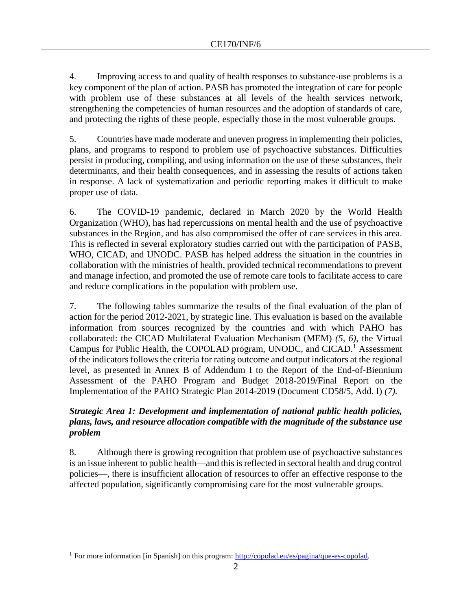4. Improving access to and quality of health responses to substance-use problems is a key component of the plan of action. PASB has promoted the integration of care for people with problem use of these substances at all levels of the health services network, strengthening the competencies of human resources and the adoption of standards of care, and protecting the rights of these people, especially those in the most vulnerable groups.

5. Countries have made moderate and uneven progress in implementing their policies, plans, and programs to respond to problem use of psychoactive substances. Difficulties persist in producing, compiling, and using information on the use of these substances, their determinants, and their health consequences, and in assessing the results of actions taken in response. A lack of systematization and periodic reporting makes it difficult to make proper use of data.

6. The COVID-19 pandemic, declared in March 2020 by the World Health Organization (WHO), has had repercussions on mental health and the use of psychoactive substances in the Region, and has also compromised the offer of care services in this area. This is reflected in several exploratory studies carried out with the participation of PASB, WHO, CICAD, and UNODC. PASB has helped address the situation in the countries in collaboration with the ministries of health, provided technical recommendations to prevent and manage infection, and promoted the use of remote care tools to facilitate access to care and reduce complications in the population with problem use.

7. The following tables summarize the results of the final evaluation of the plan of action for the period 2012-2021, by strategic line. This evaluation is based on the available information from sources recognized by the countries and with which PAHO has collaborated: the CICAD Multilateral Evaluation Mechanism (MEM) *(5, 6)*, the Virtual Campus for Public Health, the COPOLAD program, UNODC, and CICAD.<sup>1</sup> Assessment of the indicators follows the criteria for rating outcome and output indicators at the regional level, as presented in Annex B of Addendum I to the Report of the End-of-Biennium Assessment of the PAHO Program and Budget 2018-2019/Final Report on the Implementation of the PAHO Strategic Plan 2014-2019 (Document CD58/5, Add. I) *(7).*

## *Strategic Area 1: Development and implementation of national public health policies, plans, laws, and resource allocation compatible with the magnitude of the substance use problem*

8. Although there is growing recognition that problem use of psychoactive substances is an issue inherent to public health—and this is reflected in sectoral health and drug control policies––, there is insufficient allocation of resources to offer an effective response to the affected population, significantly compromising care for the most vulnerable groups.

<sup>&</sup>lt;sup>1</sup> For more information [in Spanish] on this program: [http://copolad.eu/es/pagina/que-es-copolad.](http://copolad.eu/es/pagina/que-es-copolad)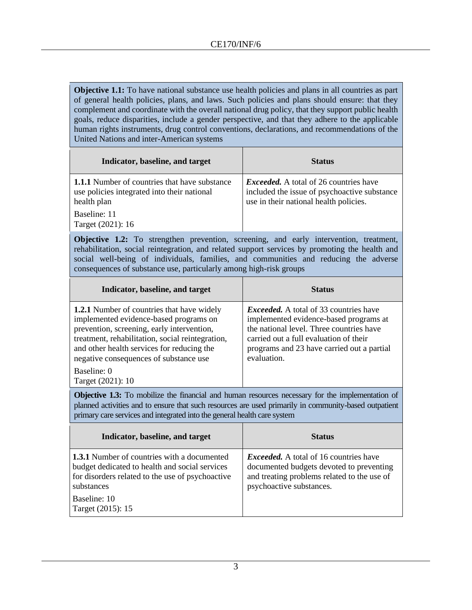**Objective 1.1:** To have national substance use health policies and plans in all countries as part of general health policies, plans, and laws. Such policies and plans should ensure: that they complement and coordinate with the overall national drug policy, that they support public health goals, reduce disparities, include a gender perspective, and that they adhere to the applicable human rights instruments, drug control conventions, declarations, and recommendations of the United Nations and inter-American systems

| Indicator, baseline, and target                                                                                    | <b>Status</b>                                                                                                                           |
|--------------------------------------------------------------------------------------------------------------------|-----------------------------------------------------------------------------------------------------------------------------------------|
| <b>1.1.1</b> Number of countries that have substance<br>use policies integrated into their national<br>health plan | <i>Exceeded.</i> A total of 26 countries have<br>included the issue of psychoactive substance<br>use in their national health policies. |
| Baseline: 11<br>Target (2021): 16                                                                                  |                                                                                                                                         |

**Objective 1.2:** To strengthen prevention, screening, and early intervention, treatment, rehabilitation, social reintegration, and related support services by promoting the health and social well-being of individuals, families, and communities and reducing the adverse consequences of substance use, particularly among high-risk groups

| Indicator, baseline, and target                                                                                                                                                                                                                                                       | <b>Status</b>                                                                                                                                                                                                                              |
|---------------------------------------------------------------------------------------------------------------------------------------------------------------------------------------------------------------------------------------------------------------------------------------|--------------------------------------------------------------------------------------------------------------------------------------------------------------------------------------------------------------------------------------------|
| <b>1.2.1</b> Number of countries that have widely<br>implemented evidence-based programs on<br>prevention, screening, early intervention,<br>treatment, rehabilitation, social reintegration,<br>and other health services for reducing the<br>negative consequences of substance use | <i>Exceeded.</i> A total of 33 countries have<br>implemented evidence-based programs at<br>the national level. Three countries have<br>carried out a full evaluation of their<br>programs and 23 have carried out a partial<br>evaluation. |
| Baseline: 0<br>Target (2021): 10                                                                                                                                                                                                                                                      |                                                                                                                                                                                                                                            |

**Objective 1.3:** To mobilize the financial and human resources necessary for the implementation of planned activities and to ensure that such resources are used primarily in community-based outpatient primary care services and integrated into the general health care system

| Indicator, baseline, and target                                                                                                                                        | <b>Status</b>                                                                                                                                                        |
|------------------------------------------------------------------------------------------------------------------------------------------------------------------------|----------------------------------------------------------------------------------------------------------------------------------------------------------------------|
| <b>1.3.1</b> Number of countries with a documented<br>budget dedicated to health and social services<br>for disorders related to the use of psychoactive<br>substances | <i>Exceeded.</i> A total of 16 countries have<br>documented budgets devoted to preventing<br>and treating problems related to the use of<br>psychoactive substances. |
| Baseline: 10<br>Target (2015): 15                                                                                                                                      |                                                                                                                                                                      |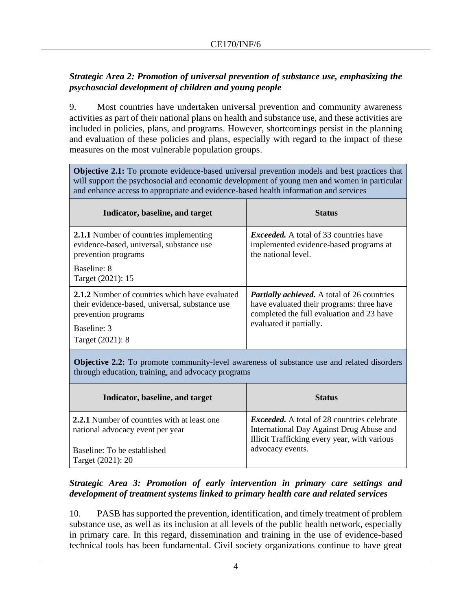# *Strategic Area 2: Promotion of universal prevention of substance use, emphasizing the psychosocial development of children and young people*

9. Most countries have undertaken universal prevention and community awareness activities as part of their national plans on health and substance use, and these activities are included in policies, plans, and programs. However, shortcomings persist in the planning and evaluation of these policies and plans, especially with regard to the impact of these measures on the most vulnerable population groups.

**Objective 2.1:** To promote evidence-based universal prevention models and best practices that will support the psychosocial and economic development of young men and women in particular and enhance access to appropriate and evidence-based health information and services

| Indicator, baseline, and target                                                                                                                                   | <b>Status</b>                                                                                                                                                           |
|-------------------------------------------------------------------------------------------------------------------------------------------------------------------|-------------------------------------------------------------------------------------------------------------------------------------------------------------------------|
| <b>2.1.1</b> Number of countries implementing<br>evidence-based, universal, substance use<br>prevention programs                                                  | <i>Exceeded.</i> A total of 33 countries have<br>implemented evidence-based programs at<br>the national level.                                                          |
| Baseline: 8<br>Target (2021): 15                                                                                                                                  |                                                                                                                                                                         |
| 2.1.2 Number of countries which have evaluated<br>their evidence-based, universal, substance use<br>prevention programs<br><b>Baseline: 3</b><br>Target (2021): 8 | <b>Partially achieved.</b> A total of 26 countries<br>have evaluated their programs: three have<br>completed the full evaluation and 23 have<br>evaluated it partially. |
|                                                                                                                                                                   |                                                                                                                                                                         |

**Objective 2.2:** To promote community-level awareness of substance use and related disorders through education, training, and advocacy programs

| Indicator, baseline, and target                                                        | <b>Status</b>                                                                                                                                  |
|----------------------------------------------------------------------------------------|------------------------------------------------------------------------------------------------------------------------------------------------|
| <b>2.2.1</b> Number of countries with at least one<br>national advocacy event per year | <i>Exceeded.</i> A total of 28 countries celebrate<br>International Day Against Drug Abuse and<br>Illicit Trafficking every year, with various |
| Baseline: To be established<br>Target (2021): 20                                       | advocacy events.                                                                                                                               |

## *Strategic Area 3: Promotion of early intervention in primary care settings and development of treatment systems linked to primary health care and related services*

10. PASB has supported the prevention, identification, and timely treatment of problem substance use, as well as its inclusion at all levels of the public health network, especially in primary care. In this regard, dissemination and training in the use of evidence-based technical tools has been fundamental. Civil society organizations continue to have great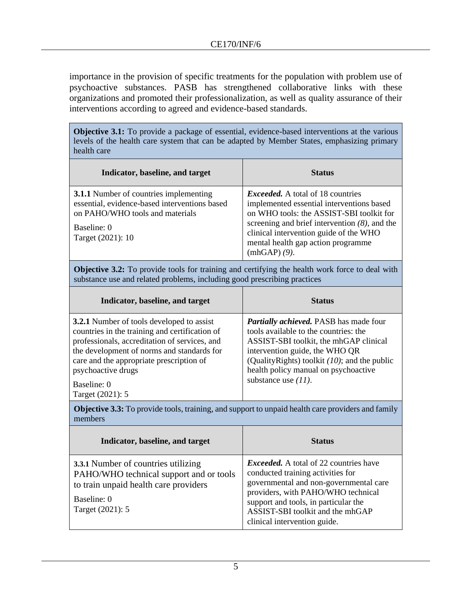importance in the provision of specific treatments for the population with problem use of psychoactive substances. PASB has strengthened collaborative links with these organizations and promoted their professionalization, as well as quality assurance of their interventions according to agreed and evidence-based standards.

**Objective 3.1:** To provide a package of essential, evidence-based interventions at the various levels of the health care system that can be adapted by Member States, emphasizing primary health care

| Indicator, baseline, and target                                                                                                                                       | <b>Status</b>                                                                                                                                                                                                                                                                           |
|-----------------------------------------------------------------------------------------------------------------------------------------------------------------------|-----------------------------------------------------------------------------------------------------------------------------------------------------------------------------------------------------------------------------------------------------------------------------------------|
| <b>3.1.1</b> Number of countries implementing<br>essential, evidence-based interventions based<br>on PAHO/WHO tools and materials<br>Baseline: 0<br>Target (2021): 10 | <i>Exceeded.</i> A total of 18 countries<br>implemented essential interventions based<br>on WHO tools: the ASSIST-SBI toolkit for<br>screening and brief intervention $(8)$ , and the<br>clinical intervention guide of the WHO<br>mental health gap action programme<br>$(mhGAP)$ (9). |

**Objective 3.2:** To provide tools for training and certifying the health work force to deal with substance use and related problems, including good prescribing practices

| Indicator, baseline, and target                                                                                                                                                                                                                                                                        | <b>Status</b>                                                                                                                                                                                                                                                                            |
|--------------------------------------------------------------------------------------------------------------------------------------------------------------------------------------------------------------------------------------------------------------------------------------------------------|------------------------------------------------------------------------------------------------------------------------------------------------------------------------------------------------------------------------------------------------------------------------------------------|
| <b>3.2.1</b> Number of tools developed to assist<br>countries in the training and certification of<br>professionals, accreditation of services, and<br>the development of norms and standards for<br>care and the appropriate prescription of<br>psychoactive drugs<br>Baseline: 0<br>Target (2021): 5 | <b>Partially achieved.</b> PASB has made four<br>tools available to the countries: the<br>ASSIST-SBI toolkit, the mhGAP clinical<br>intervention guide, the WHO QR<br>(Quality Rights) toolkit $(10)$ ; and the public<br>health policy manual on psychoactive<br>substance use $(11)$ . |

**Objective 3.3:** To provide tools, training, and support to unpaid health care providers and family members

| Indicator, baseline, and target                                                                                                                            | <b>Status</b>                                                                                                                                                                                                                                                                  |
|------------------------------------------------------------------------------------------------------------------------------------------------------------|--------------------------------------------------------------------------------------------------------------------------------------------------------------------------------------------------------------------------------------------------------------------------------|
| 3.3.1 Number of countries utilizing<br>PAHO/WHO technical support and or tools<br>to train unpaid health care providers<br>Baseline: 0<br>Target (2021): 5 | <i>Exceeded.</i> A total of 22 countries have<br>conducted training activities for<br>governmental and non-governmental care<br>providers, with PAHO/WHO technical<br>support and tools, in particular the<br>ASSIST-SBI toolkit and the mhGAP<br>clinical intervention guide. |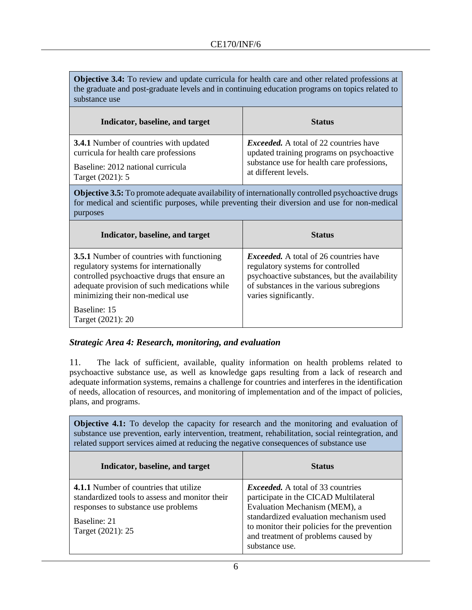**Objective 3.4:** To review and update curricula for health care and other related professions at the graduate and post-graduate levels and in continuing education programs on topics related to substance use

| Indicator, baseline, and target               | <b>Status</b>                                 |
|-----------------------------------------------|-----------------------------------------------|
| <b>3.4.1</b> Number of countries with updated | <i>Exceeded.</i> A total of 22 countries have |
| curricula for health care professions         | updated training programs on psychoactive     |
| Baseline: 2012 national curricula             | substance use for health care professions,    |
| Target (2021): 5                              | at different levels.                          |

**Objective 3.5:** To promote adequate availability of internationally controlled psychoactive drugs for medical and scientific purposes, while preventing their diversion and use for non-medical purposes

| Indicator, baseline, and target                                                                                                                                                                                                 | <b>Status</b>                                                                                                                                                                                           |
|---------------------------------------------------------------------------------------------------------------------------------------------------------------------------------------------------------------------------------|---------------------------------------------------------------------------------------------------------------------------------------------------------------------------------------------------------|
| <b>3.5.1</b> Number of countries with functioning<br>regulatory systems for internationally<br>controlled psychoactive drugs that ensure an<br>adequate provision of such medications while<br>minimizing their non-medical use | <i>Exceeded.</i> A total of 26 countries have<br>regulatory systems for controlled<br>psychoactive substances, but the availability<br>of substances in the various subregions<br>varies significantly. |
| Baseline: 15<br>Target (2021): 20                                                                                                                                                                                               |                                                                                                                                                                                                         |

#### *Strategic Area 4: Research, monitoring, and evaluation*

11. The lack of sufficient, available, quality information on health problems related to psychoactive substance use, as well as knowledge gaps resulting from a lack of research and adequate information systems, remains a challenge for countries and interferes in the identification of needs, allocation of resources, and monitoring of implementation and of the impact of policies, plans, and programs.

**Objective 4.1:** To develop the capacity for research and the monitoring and evaluation of substance use prevention, early intervention, treatment, rehabilitation, social reintegration, and related support services aimed at reducing the negative consequences of substance use

| Indicator, baseline, and target                                                                                                                                      | <b>Status</b>                                                                                                                                                                                                                                                         |
|----------------------------------------------------------------------------------------------------------------------------------------------------------------------|-----------------------------------------------------------------------------------------------------------------------------------------------------------------------------------------------------------------------------------------------------------------------|
| 4.1.1 Number of countries that utilize<br>standardized tools to assess and monitor their<br>responses to substance use problems<br>Baseline: 21<br>Target (2021): 25 | <i>Exceeded.</i> A total of 33 countries<br>participate in the CICAD Multilateral<br>Evaluation Mechanism (MEM), a<br>standardized evaluation mechanism used<br>to monitor their policies for the prevention<br>and treatment of problems caused by<br>substance use. |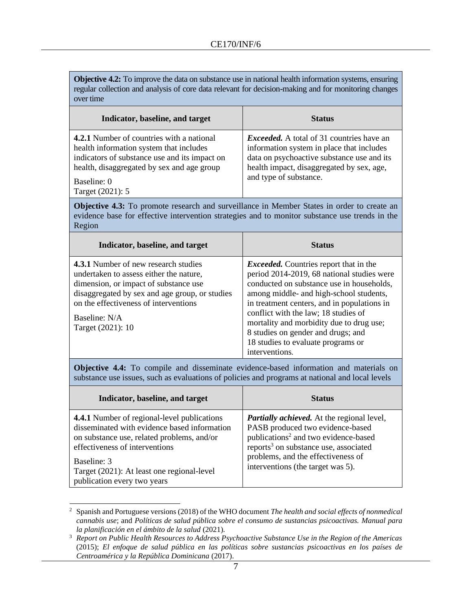**Objective 4.2:** To improve the data on substance use in national health information systems, ensuring regular collection and analysis of core data relevant for decision-making and for monitoring changes over time

| Indicator, baseline, and target                                                                                                                                                                                        | <b>Status</b>                                                                                                                                                                                                      |
|------------------------------------------------------------------------------------------------------------------------------------------------------------------------------------------------------------------------|--------------------------------------------------------------------------------------------------------------------------------------------------------------------------------------------------------------------|
| 4.2.1 Number of countries with a national<br>health information system that includes<br>indicators of substance use and its impact on<br>health, disaggregated by sex and age group<br>Baseline: 0<br>Target (2021): 5 | <i>Exceeded.</i> A total of 31 countries have an<br>information system in place that includes<br>data on psychoactive substance use and its<br>health impact, disaggregated by sex, age,<br>and type of substance. |

**Objective 4.3:** To promote research and surveillance in Member States in order to create an evidence base for effective intervention strategies and to monitor substance use trends in the Region

| Indicator, baseline, and target                                                                                                                                                                                                                           | <b>Status</b>                                                                                                                                                                                                                                                                                                                                                                                                        |
|-----------------------------------------------------------------------------------------------------------------------------------------------------------------------------------------------------------------------------------------------------------|----------------------------------------------------------------------------------------------------------------------------------------------------------------------------------------------------------------------------------------------------------------------------------------------------------------------------------------------------------------------------------------------------------------------|
| 4.3.1 Number of new research studies<br>undertaken to assess either the nature,<br>dimension, or impact of substance use<br>disaggregated by sex and age group, or studies<br>on the effectiveness of interventions<br>Baseline: N/A<br>Target (2021): 10 | <i>Exceeded.</i> Countries report that in the<br>period 2014-2019, 68 national studies were<br>conducted on substance use in households,<br>among middle- and high-school students,<br>in treatment centers, and in populations in<br>conflict with the law; 18 studies of<br>mortality and morbidity due to drug use;<br>8 studies on gender and drugs; and<br>18 studies to evaluate programs or<br>interventions. |

**Objective 4.4:** To compile and disseminate evidence-based information and materials on substance use issues, such as evaluations of policies and programs at national and local levels

| Indicator, baseline, and target                                                                                                                                                                                                                                         | <b>Status</b>                                                                                                                                                                                                                                                             |
|-------------------------------------------------------------------------------------------------------------------------------------------------------------------------------------------------------------------------------------------------------------------------|---------------------------------------------------------------------------------------------------------------------------------------------------------------------------------------------------------------------------------------------------------------------------|
| 4.4.1 Number of regional-level publications<br>disseminated with evidence based information<br>on substance use, related problems, and/or<br>effectiveness of interventions<br>Baseline: 3<br>Target (2021): At least one regional-level<br>publication every two years | <b>Partially achieved.</b> At the regional level,<br>PASB produced two evidence-based<br>publications <sup>2</sup> and two evidence-based<br>reports <sup>3</sup> on substance use, associated<br>problems, and the effectiveness of<br>interventions (the target was 5). |

<sup>2</sup> Spanish and Portuguese versions (2018) of the WHO document *The health and social effects of nonmedical cannabis use*; and *Políticas de salud pública sobre el consumo de sustancias psicoactivas. Manual para la planificación en el ámbito de la salud* (2021)*.*

<sup>3</sup> *Report on Public Health Resources to Address Psychoactive Substance Use in the Region of the Americas*  (2015); *El enfoque de salud pública en las políticas sobre sustancias psicoactivas en los países de Centroamérica y la República Dominicana* (2017).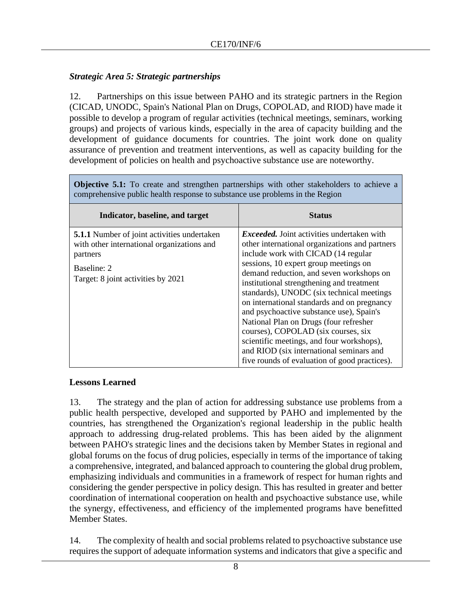# *Strategic Area 5: Strategic partnerships*

12. Partnerships on this issue between PAHO and its strategic partners in the Region (CICAD, UNODC, Spain's National Plan on Drugs, COPOLAD, and RIOD) have made it possible to develop a program of regular activities (technical meetings, seminars, working groups) and projects of various kinds, especially in the area of capacity building and the development of guidance documents for countries. The joint work done on quality assurance of prevention and treatment interventions, as well as capacity building for the development of policies on health and psychoactive substance use are noteworthy.

**Objective 5.1:** To create and strengthen partnerships with other stakeholders to achieve a comprehensive public health response to substance use problems in the Region

| Indicator, baseline, and target                                                                                                                                   | <b>Status</b>                                                                                                                                                                                                                                                                                                                                                                                                                                                                                                                                                                                                                                   |
|-------------------------------------------------------------------------------------------------------------------------------------------------------------------|-------------------------------------------------------------------------------------------------------------------------------------------------------------------------------------------------------------------------------------------------------------------------------------------------------------------------------------------------------------------------------------------------------------------------------------------------------------------------------------------------------------------------------------------------------------------------------------------------------------------------------------------------|
| <b>5.1.1</b> Number of joint activities undertaken<br>with other international organizations and<br>partners<br>Baseline: 2<br>Target: 8 joint activities by 2021 | <i>Exceeded.</i> Joint activities undertaken with<br>other international organizations and partners<br>include work with CICAD (14 regular<br>sessions, 10 expert group meetings on<br>demand reduction, and seven workshops on<br>institutional strengthening and treatment<br>standards), UNODC (six technical meetings<br>on international standards and on pregnancy<br>and psychoactive substance use), Spain's<br>National Plan on Drugs (four refresher<br>courses), COPOLAD (six courses, six<br>scientific meetings, and four workshops),<br>and RIOD (six international seminars and<br>five rounds of evaluation of good practices). |

## **Lessons Learned**

13. The strategy and the plan of action for addressing substance use problems from a public health perspective, developed and supported by PAHO and implemented by the countries, has strengthened the Organization's regional leadership in the public health approach to addressing drug-related problems. This has been aided by the alignment between PAHO's strategic lines and the decisions taken by Member States in regional and global forums on the focus of drug policies, especially in terms of the importance of taking a comprehensive, integrated, and balanced approach to countering the global drug problem, emphasizing individuals and communities in a framework of respect for human rights and considering the gender perspective in policy design. This has resulted in greater and better coordination of international cooperation on health and psychoactive substance use, while the synergy, effectiveness, and efficiency of the implemented programs have benefitted Member States.

14. The complexity of health and social problems related to psychoactive substance use requires the support of adequate information systems and indicators that give a specific and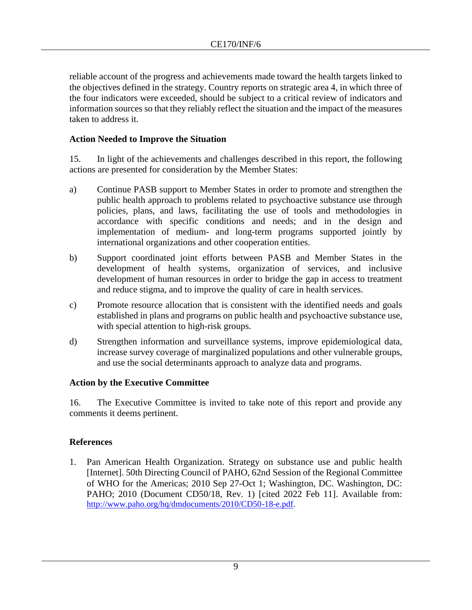reliable account of the progress and achievements made toward the health targets linked to the objectives defined in the strategy. Country reports on strategic area 4, in which three of the four indicators were exceeded, should be subject to a critical review of indicators and information sources so that they reliably reflect the situation and the impact of the measures taken to address it.

## **Action Needed to Improve the Situation**

15. In light of the achievements and challenges described in this report, the following actions are presented for consideration by the Member States:

- a) Continue PASB support to Member States in order to promote and strengthen the public health approach to problems related to psychoactive substance use through policies, plans, and laws, facilitating the use of tools and methodologies in accordance with specific conditions and needs; and in the design and implementation of medium- and long-term programs supported jointly by international organizations and other cooperation entities.
- b) Support coordinated joint efforts between PASB and Member States in the development of health systems, organization of services, and inclusive development of human resources in order to bridge the gap in access to treatment and reduce stigma, and to improve the quality of care in health services.
- c) Promote resource allocation that is consistent with the identified needs and goals established in plans and programs on public health and psychoactive substance use, with special attention to high-risk groups.
- d) Strengthen information and surveillance systems, improve epidemiological data, increase survey coverage of marginalized populations and other vulnerable groups, and use the social determinants approach to analyze data and programs.

#### **Action by the Executive Committee**

16. The Executive Committee is invited to take note of this report and provide any comments it deems pertinent.

#### **References**

1. Pan American Health Organization. Strategy on substance use and public health [Internet]. 50th Directing Council of PAHO, 62nd Session of the Regional Committee of WHO for the Americas; 2010 Sep 27-Oct 1; Washington, DC. Washington, DC: PAHO; 2010 (Document CD50/18, Rev. 1) [cited 2022 Feb 11]. Available from: [http://www.paho.org/hq/dmdocuments/2010/CD50-18-e.pdf.](http://www.paho.org/hq/dmdocuments/2010/CD50-18-e.pdf)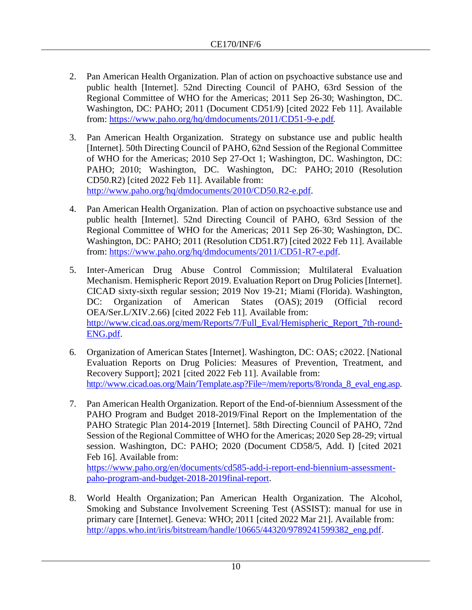- 2. Pan American Health Organization. Plan of action on psychoactive substance use and public health [Internet]. 52nd Directing Council of PAHO, 63rd Session of the Regional Committee of WHO for the Americas; 2011 Sep 26-30; Washington, DC. Washington, DC: PAHO; 2011 (Document CD51/9) [cited 2022 Feb 11]. Available from:<https://www.paho.org/hq/dmdocuments/2011/CD51-9-e.pdf>.
- 3. Pan American Health Organization. Strategy on substance use and public health [Internet]. 50th Directing Council of PAHO, 62nd Session of the Regional Committee of WHO for the Americas; 2010 Sep 27-Oct 1; Washington, DC. Washington, DC: PAHO; 2010; Washington, DC. Washington, DC: PAHO; 2010 (Resolution CD50.R2) [cited 2022 Feb 11]. Available from: [http://www.paho.org/hq/dmdocuments/2010/CD50.R2-e.pdf.](http://www.paho.org/hq/dmdocuments/2010/CD50.R2-e.pdf)
- 4. Pan American Health Organization. Plan of action on psychoactive substance use and public health [Internet]. 52nd Directing Council of PAHO, 63rd Session of the Regional Committee of WHO for the Americas; 2011 Sep 26-30; Washington, DC. Washington, DC: PAHO; 2011 (Resolution CD51.R7) [cited 2022 Feb 11]. Available from: [https://www.paho.org/hq/dmdocuments/2011/CD51-R7-e.pdf.](https://www.paho.org/hq/dmdocuments/2011/CD51-R7-e.pdf)
- 5. Inter-American Drug Abuse Control Commission; Multilateral Evaluation Mechanism. Hemispheric Report 2019. Evaluation Report on Drug Policies [Internet]. CICAD sixty-sixth regular session; 2019 Nov 19-21; Miami (Florida). Washington, DC: Organization of American States (OAS); 2019 (Official record OEA/Ser.L/XIV.2.66) [cited 2022 Feb 11]. Available from: [http://www.cicad.oas.org/mem/Reports/7/Full\\_Eval/Hemispheric\\_Report\\_7th-round-](http://www.cicad.oas.org/mem/Reports/7/Full_Eval/Hemispheric_Report_7th-round-ENG.pdf)[ENG.pdf.](http://www.cicad.oas.org/mem/Reports/7/Full_Eval/Hemispheric_Report_7th-round-ENG.pdf)
- 6. Organization of American States [Internet]. Washington, DC: OAS; c2022. [National Evaluation Reports on Drug Policies: Measures of Prevention, Treatment, and Recovery Support]; 2021 [cited 2022 Feb 11]. Available from: [http://www.cicad.oas.org/Main/Template.asp?File=/mem/reports/8/ronda\\_8\\_eval](http://www.cicad.oas.org/Main/Template.asp?File=/mem/reports/8/ronda_8_eval_eng.asp)\_eng.asp.
- 7. Pan American Health Organization. Report of the End-of-biennium Assessment of the PAHO Program and Budget 2018-2019/Final Report on the Implementation of the PAHO Strategic Plan 2014-2019 [Internet]. 58th Directing Council of PAHO, 72nd Session of the Regional Committee of WHO for the Americas; 2020 Sep 28-29; virtual session. Washington, DC: PAHO; 2020 (Document CD58/5, Add. I) [cited 2021 Feb 16]. Available from:

[https://www.paho.org/en/documents/cd585-add-i-report-end-biennium-assessment](https://www.paho.org/en/documents/cd585-add-i-report-end-biennium-assessment-paho-program-and-budget-2018-2019final-report)[paho-program-and-budget-2018-2019final-report.](https://www.paho.org/en/documents/cd585-add-i-report-end-biennium-assessment-paho-program-and-budget-2018-2019final-report)

8. World Health Organization; Pan American Health Organization. The Alcohol, Smoking and Substance Involvement Screening Test (ASSIST): manual for use in primary care [Internet]. Geneva: WHO; 2011 [cited 2022 Mar 21]. Available from: [http://apps.who.int/iris/bitstream/handle/10665/44320/9789241599382\\_eng.pdf.](http://apps.who.int/iris/bitstream/handle/10665/44320/9789241599382_eng.pdf?sequence=1)